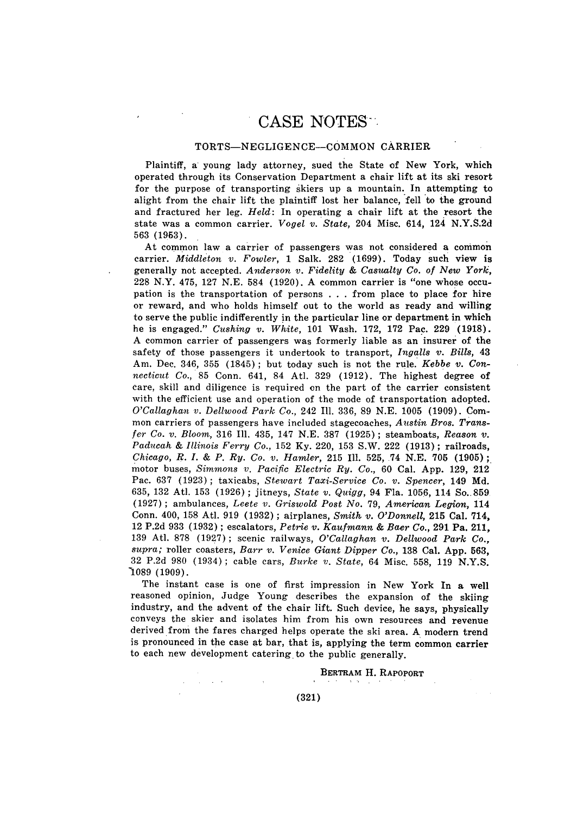## TORTS-NEGLIGENCE--COMMON CARRIER

Plaintiff, a young lady attorney, sued the State of New York, which operated through its Conservation Department a chair lift at its ski resort for the purpose of transporting skiers up a mountain. In attempting to alight from the chair lift the plaintiff lost her balance, fell to the ground and fractured her leg. *Held:* In operating a chair lift at the resort the state was a common carrier. *Vogel v. State,* 204 Misc. 614, 124 N.Y.S.2d 563 (1963).

At common law a carrier of passengers was not considered a common carrier. *Middleton v. Fowler,* 1 Salk. 282 (1699). Today such view is generally not accepted. *Anderson v. Fidelity & Casualty Co. of New York,* 228 N.Y. 475, 127 N.E. 584 (1920). A common carrier is "one whose occupation is the transportation of persons . . . from place to place for hire or reward, and who holds himself out to the world as ready and willing to serve the public indifferently in the particular line or department in which he is engaged." *Cushing v. White,* 101 Wash. 172, 172 Pac. 229 (1918). A common carrier of passengers was formerly liable as an insurer of the safety of those passengers it undertook to transport, *Ingalls v. Bills,* 43 Am. Dec. 346, 355 (1845); but today such is not the rule. *Kebbe v. Connecticut Co.,* 85 Conn. 641, 84 Atl. 329 (1912). The highest degree of care, skill and diligence is required on the part of the carrier consistent with the efficient use and operation of the mode of transportation adopted. *O'Callaghan v. Dellwood Park Co.,* 242 Ill. 336, 89 N.E. 1005 (1909). Common carriers of passengers have included stagecoaches, *Austin Bros. Transfer Co. v. Bloom,* 316 Ill. 435, 147 N.E. 387 (1925); steamboats, *Reason v. Paducah & Illinois Ferry Co.,* 152 Ky. 220, 153 S.W. 222 (1913); railroads, *Chicago, R. I. & P. Ry. Co. v. Hamler,* 215 Ill. 525, 74 N.E. 705 (1905); motor buses, *Simmons v. Pacific Electric Ry. Co.,* 60 Cal. App. 129, 212 Pac. 637 (1923) ; taxicabs, *Stewart Taxi-Service Co. v. Spencer,* 149 Md. 635, 132 Atl. 153 (1926) ; jitneys, *State v. Quigg,* 94 Fla. 1056, 114 So.. 859 (1927) ; ambulances, *Leete v. Griswold Post No.* 79, *American Legion,* 114 Conn. 400, 158 Atl. 919 (1932); airplanes, *Smith v. O'Donnell,* 215 Cal. 714, 12 P.2d 933 (1932) ; escalators, *Petrie v. Kaufmann & Baer Co.,* 291 Pa. 211, 139 Atl. 878 (1927); scenic railways, *O'Callaghan v. Dellwood Park Co., supra;* roller coasters, *Barr v. Venice Giant Dipper Co.,* 138 Cal. App. 563, 32 P.2d 980 (1934) ; cable cars, *Burke v. State,* 64 Misc. 558, 119 N.Y.S. -1089 (1909).

The instant case is one of first impression in New York In a well reasoned opinion, Judge Young describes the expansion of the skiing industry, and the advent of the chair lift. Such device, he says, physically conveys the skier and isolates him from his own resources and revenue derived from the fares charged helps operate the ski area. A modern trend is pronounced in the case at bar, that is, applying the term common carrier to each new development catering to the public generally.

## **IBERTRAM** H. **RAPOPORT**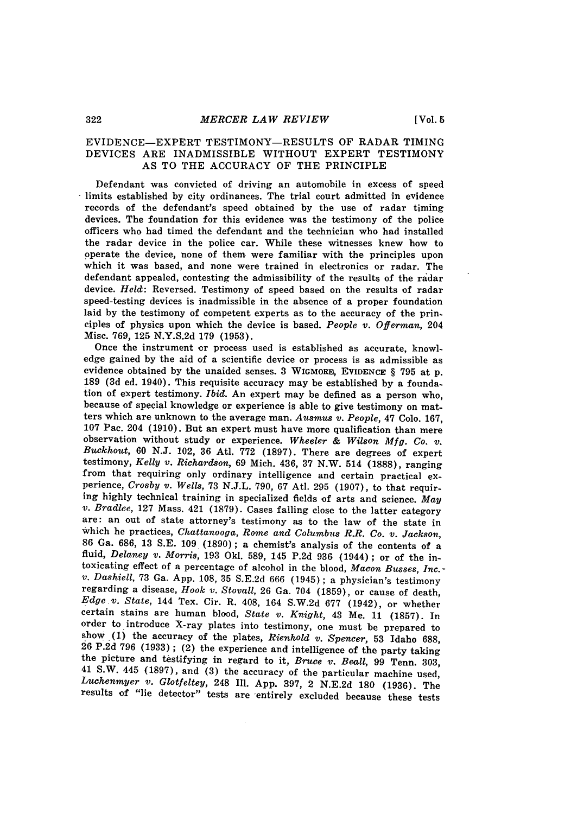# EVIDENCE-EXPERT TESTIMONY-RESULTS OF RADAR TIMING DEVICES ARE INADMISSIBLE WITHOUT EXPERT TESTIMONY AS TO THE ACCURACY OF THE PRINCIPLE

Defendant was convicted of driving an automobile in excess of speed limits established by city ordinances. The trial court admitted in evidence records of the defendant's speed obtained by the use of radar timing devices. The foundation for this evidence was the testimony of the police officers who had timed the defendant and the technician who had installed the radar device in the police car. While these witnesses knew how to operate the device, none of them were familiar with the principles upon which it was based, and none were trained in electronics or radar. The defendant appealed, contesting the admissibility of the results of the radar device. *Held:* Reversed. Testimony of speed based on the results of radar speed-testing devices is inadmissible in the absence of a proper foundation laid by the testimony of competent experts as to the accuracy of the principles of physics upon which the device is based. *People v. Offerman,* 204 Misc. 769, 125 N.Y.S.2d **179** (1953).

Once the instrument or process used is established as accurate, knowledge gained by the aid of a scientific device or process is as admissible as evidence obtained by the unaided senses. 3 WIGMORE, EVIDENCE § 795 at p. 189 (3d ed. 1940). This requisite accuracy may be established by a foundation of expert testimony. *Ibid.* An expert may be defined as a person who, because of special knowledge or experience is able to give testimony on matters which are unknown to the average man. *Ausmus v. People,* 47 Colo. 167, observation without study or experience. Wheeler & Wilson Mfg. Co. v. Buckhout, 60 N.J. 102, 36 Atl. 772 (1897). There are degrees of expert testimony, *Kelly v. Richardson*, 69 Mich. 436, 37 N.W. 514 (1888), ranging from that requiring only ordinary intelligence and certain practical experience, *Crosby v. Wells*, 73 N.J.L. 790, 67 Atl. 295 (1907), to that requiring highly technical training in specialized fields of arts and science. *May v. Bradlee,* **127** Mass. 421 (1879). Cases falling close to the latter category are: an out of state attorney's testimony as to the law of the state in which he practices, *Chattanooga, Rome and Columbus R.R. Co. v. Jackson,* 86 Ga. 686, 13 S.E. 109 (1890); a chemist's analysis of the contents of a fluid, *Delaney v. Morris,* 193 **Okl.** 589, 145 P.2d 936 (1944); or of the intoxicating effect of a percentage of alcohol in the blood, *Macon Busses, Inc.- v. Dashiell,* **73** Ga. App. 108, 35 S.E.2d 666 (1945) ; a physician's testimony regarding a disease, *Hook v. Stovall,* 26 Ga. 704 (1859), or cause of death, *Edge v. State,* 144 Tex. Cir. R. 408, 164 S.W.2d **677** (1942), or whether certain stains are human blood, *State v. Knight,* 43 Me. 11 (1857). In order to introduce X-ray plates into testimony, one must be prepared to show **(1)** the accuracy of the plates, *Rienhold v. Spencer,* 53 Idaho 688, **26** P.2d **796** (1933) ; (2) the experience and intelligence of the party taking the picture and testifying in regard to it, *Bruce v. Beall,* 99 Tenn. 303, 41 S.W. 445 (1897), and (3) the accuracy of the particular machine used, *Luchenmyer v. Glotfeltey,* 248 Ill. App. 397, 2 N.E.2d **180** (1936). The results of "lie detector" tests are entirely excluded because these tests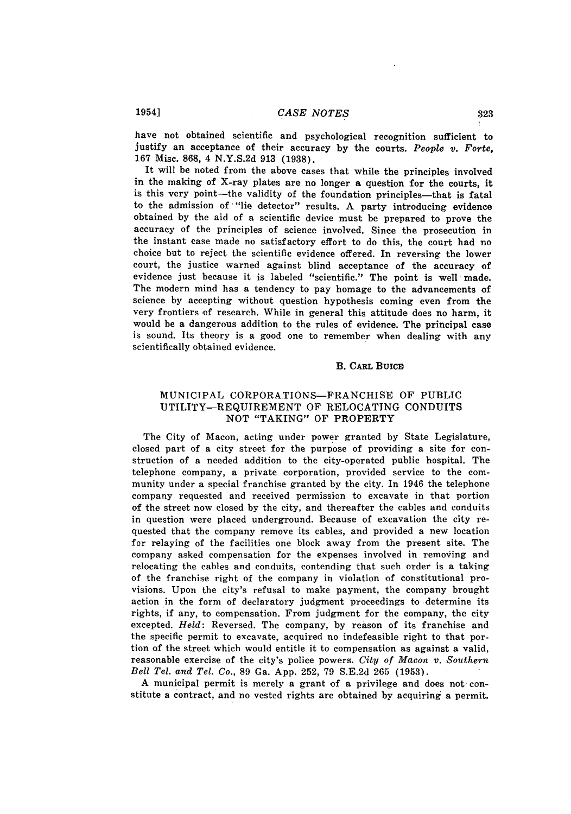have not obtained scientific and psychological recognition sufficient to justify an acceptance of their accuracy **by** the courts. *People v. Forte,* **167** Misc. **868,** 4 **N.Y.S.2d 913 (1938).**

It will be noted from the above cases that while the principles involved in the making of X-ray plates are no longer a question for the courts, it is this very point-the validity of the foundation principles-that is fatal to the admission of "lie detector" results. **A** party introducing evidence obtained **by** the aid of a scientific device must be prepared to prove the accuracy of the principles of science involved. Since the prosecution in the instant case made no satisfactory effort to do this, the court had no choice but to reject the scientific evidence offered. In reversing the lower court, the justice warned against blind acceptance of the accuracy of evidence just because it is labeled "scientific." The point is well made. The modern mind has a tendency to pay homage to the advancements of science **by** accepting without question hypothesis coming even from the very frontiers **of** research. While in general this attitude does no harm, it would be a dangerous addition to the rules of evidence. The principal case is sound. Its theory is a good one to remember when dealing with any scientifically obtained evidence.

## B. **CARL Buicm**

## **MUNICIPAL** CORPORATIONS-FRANCHISE OF **PUBLIC** UTILITY-REQUIREMENT OF **RELOCATING CONDUITS NOT** "TAKING" OF PROPERTY

The City of Macon, acting under power granted **by** State Legislature, closed part of a city street for the purpose of providing a site for construction of a needed addition to the city-operated public hospital. The telephone company, a private corporation, provided service to the community under a special franchise granted **by** the city. In 1946 the telephone company requested and received permission to excavate in that portion of the street now closed **by** the city, and thereafter the cables and conduits in question were placed underground. Because of excavation the city requested that the company remove its cables, and provided a new location for relaying of the facilities one block away from the present site. The company asked compensation for the expenses involved in removing and relocating the cables and conduits, contending that such order is a taking of the franchise right of the company in violation of constitutional provisions. Upon the city's refusal to make payment, the company brought action in the form of declaratory judgment proceedings to determine its rights, if any, to compensation. From judgment for the company, the city excepted. *Held:* Reversed. The company, **by** reason of its franchise and the specific permit to excavate, acquired no indefeasible right to that portion of the street which would entitle it to compensation as against a valid, reasonable exercise of the city's police powers. *City of Macon v. Southern Bell Tel. and Tel. Co.,* **89** Ga. **App. 252, 79 S.E.2d 265 (1953).**

**A** municipal permit is merely a grant of a privilege and does not constitute a contract, and no vested rights are obtained **by** acquiring a permit.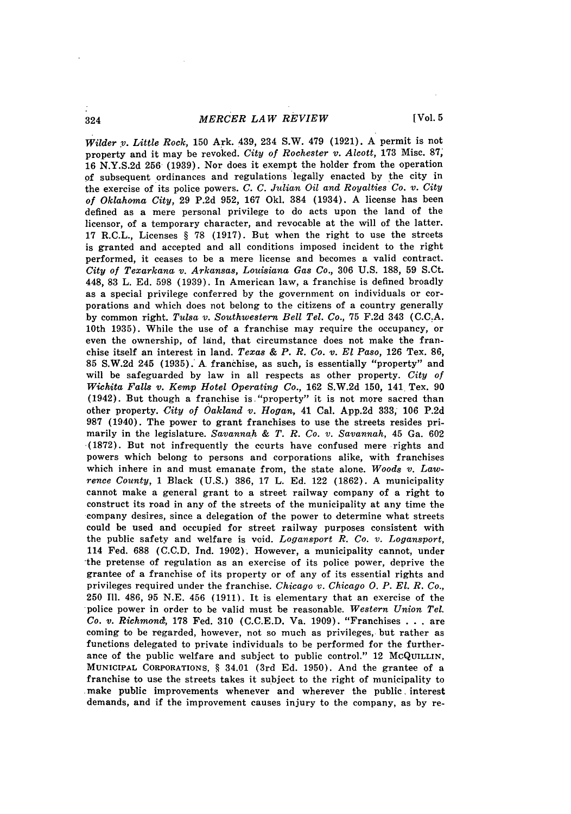*MERCER LAW REVIEW*

*Wilder* v. *Little Rock,* **150** Ark. 439, 234 S.W. 479 (1921). A permit is not property and it may be revoked. *City of Rochester* **v.** *Alcott,* 173 Misc. 87; 16 N.Y.S.2d **256** (1939). Nor does it exempt the holder from the operation of subsequent ordinances and regulations legally enacted by the city in the exercise of its police powers. *C. C. Julian Oil and Royalties Co. v. City of Oklahoma City,* 29 P.2d 952, 167 Okl. 384 (1934). A license has been defined as a mere personal privilege to do acts upon the land of the licensor, of a temporary character, and revocable at the will of the latter. 17 R.C.L., Licenses § **78** (1917). But when the right to use the streets is granted and accepted and all conditions imposed incident to the right performed, it ceases to be a mere license and becomes a valid contract. *City of Texarkana v. Arkansas, Louisiana* Gas *Co.,* 306 U.S. 188, 59 S.Ct. 448, 83 L. Ed. 598 (1939). In American law, a franchise is defined broadly as a special privilege conferred by the government on individuals or corporations and which does not belong to the citizens of a country generally **by** common right. *Tulsa v. Southwestern Bell Tel. Co.,* **75 F.2d** 343 **(C.C.A.** 10th 1935). While the use of a franchise may require the occupancy, or even the ownership, of land, that circumstance does not make the franchise itself an interest in land. *Texas & P. R. Co. v. El Paso,* 126 Tex. **86,** 85 S.W.2d 245 (1935). A franchise, as such, is essentially "property" and will be safeguarded by law in all respects as other property. *City of Wichita Falls v. Kemp Hotel Operating Co.,* 162 S.W.2d 150, 141 Tex. 90 (1942). But though a franchise is. "property" it is not more sacred than other property. *City of Oakland v. Hogan,* 41 Cal. App.2d 333, 106 P.2d 987 (1940). The power to grant franchises to use the streets resides primarily in the legislature. *Savannah &* T. *R. Co. v. Savannah,* 45 Ga. 602 (1872). But not infrequently the courts have confused mere rights and powers which belong to persons and corporations alike, with franchises which inhere in and must emanate from, the state alone. *Woods v. Lawrence County,* 1 Black (U.S.) 386, 17 L. Ed. 122 (1862). A municipality cannot make a general grant to a street railway company of a right to construct its road in any of the streets of the municipality at any time the company desires, since a delegation of the power to determine what streets could be used and occupied for street railway purposes consistent with the public safety and welfare is void. *Logansport R. Co. v. Logansport,* 114 Fed. 688 (C.C.D. Ind. 1902). However, a municipality cannot, under the pretense of regulation as an exercise of its police power, deprive the grantee of a franchise of its property or of any of its essential rights and privileges required under the franchise. *Chicago v. Chicago 0. P. El. R. Co.,* **250** Ill. 486, 95 N.E. 456 (1911). It is elementary that an exercise of the police power in order to be valid must be reasonable. *Western Union Tel. Co. v. Richmond,* **178** Fed. 310 (C.C.E.D. Va. 1909). "Franchises . . . are coming to be regarded, however, not so much as privileges, but rather as functions delegated to private individuals to be performed for the furtherance of the public welfare and subject to public control." 12 McQUILLIN, **MUNICIPAL CORPORATIONS,** § 34.01 **(3rd Ed.** 1950). And the grantee of a franchise to use the streets takes it subject to the right of municipality to make public improvements whenever and wherever the public, interest demands, and if the improvement causes injury to the company, as by re-

324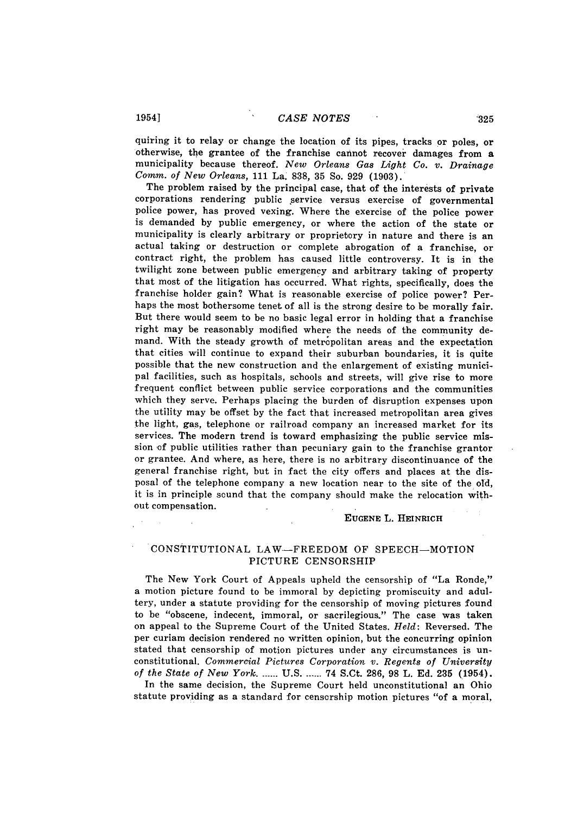quiring it to relay or change the location of its pipes, tracks or poles, or otherwise, the grantee of the franchise cannot recover damages from a municipality because thereof. New Orleans Gas Light Co. v. Drainage *Comm. of New Orleans,* 111 La. 838, 35 So. 929 (1903).

The problem raised by the principal case, that of the interests of private corporations rendering public service versus exercise of governmental police power, has proved vexing. Where the exercise of the police power is demanded by public emergency, or where the action of the state or municipality is clearly arbitrary or proprietory in nature and there is an actual taking or destruction or complete abrogation of a franchise, or contract right, the problem has caused little controversy. It is in the twilight zone between public emergency and arbitrary taking of property that most of the litigation has occurred. What rights, specifically, does the franchise holder gain? What is reasonable exercise of police power? Perhaps the most bothersome tenet of all is the strong desire to be morally fair. But there would seem to be no basic legal error in holding that a franchise right may be reasonably modified where the needs of the community demand. With the steady growth of metropolitan areas and the expectation that cities will continue to expand their suburban boundaries, it is quite possible that the new construction and the enlargement of existing municipal facilities, such as hospitals, schools and streets, will give rise to more frequent conflict between public service corporations and the communities which they serve. Perhaps placing the burden of disruption expenses upon the utility may be offset by the fact that increased metropolitan area gives the light, gas, telephone or railroad company an increased market for its services. The modern trend is toward emphasizing the public service mission of public utilities rather than pecuniary gain to the franchise grantor or grantee. And where, as here, there is no arbitrary discontinuance of the general franchise right, but in fact the city offers and places at the disposal of the telephone company a new location near to the site of the old, it is in principle sound that the company should make the relocation without compensation.

#### **EUGENE** L. HEINRICH

# CONSTITUTIONAL LAW-FREEDOM OF SPEECH-MOTION PICTURE CENSORSHIP

The New York Court of Appeals upheld the censorship of "La Ronde," a motion picture found to be immoral by depicting promiscuity and adultery, under a statute providing for the censorship of moving pictures found to be "obscene, indecent, immoral, or sacrilegious." The case was taken on appeal to the Supreme Court of the United States. *Held:* Reversed. The per curiam decision rendered no written opinion, but the concurring opinion stated that censorship of motion pictures under any circumstances is unconstitutional. *Commercial Pictures Corporation v. Regents of University of the State of New York* ......-U.S **\_...** 74 S.Ct. 286, 98 L. Ed. **235** (1954).

In the same decision, the Supreme Court held unconstitutional an Ohio statute providing as a standard for censorship motion pictures "of a moral,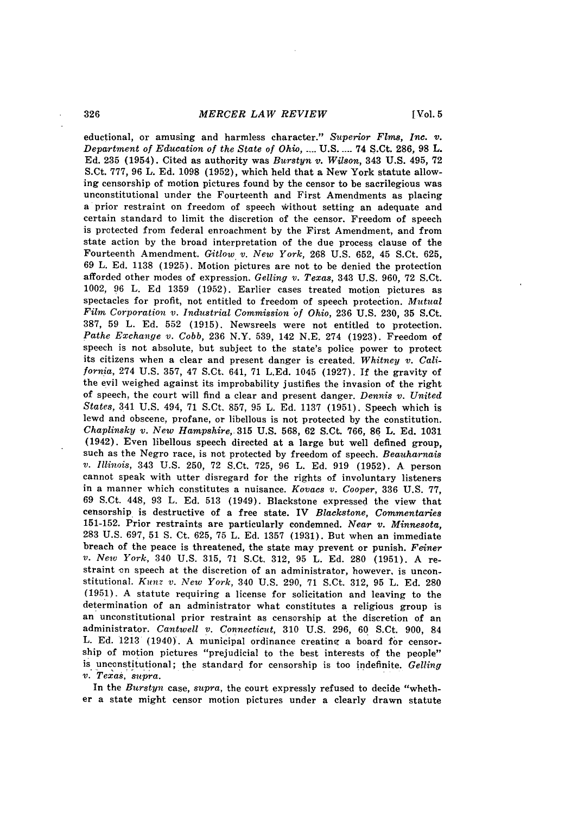*MERCER LAW REVIEW*

eductional, or amusing and harmless character." *Superior Flms, Inc.* v. *Department of Education of the State of Ohio, ....* U.S.....74 S.Ct. 286, **98** L. Ed. 235 (1954). Cited as authority was *Burstyn v. Wilson,* 343 U.S. 495, 72 S.Ct. **777,** 96 L. Ed. 1098 (1952), which held that a New York statute allowing censorship of motion pictures found by the censor to be sacrilegious was unconstitutional under the Fourteenth and First Amendments as placing a prior restraint on freedom of speech without setting an adequate and certain standard to limit the discretion of the censor. Freedom of speech is protected from federal enroachment by the First Amendment, and from state action by the broad interpretation of the due process clause of the Fourteenth Amendment. *Gitlow v. New York,* 268 U.S. 652, 45 S.Ct. 625, 69 L. Ed. 1138 (1925). Motion pictures are not to be denied the protection afforded other modes of expression. *Gelling v. Texas,* 343 U.S. 960, **72** S.Ct. 1002, 96 L. Ed 1359 (1952). Earlier cases treated motion pictures as spectacles for profit, not entitled to freedom of speech protection. *Mutual Film Corporation v. Industrial Commission of Ohio,* 236 U.S. 230, 35 S.Ct. 387, 59 L. Ed. 552 (1915). Newsreels were not entitled to protection. *Pathe Exchange v. Cobb,* 236 N.Y. 539, 142 N.E. 274 (1923). Freedom of speech is not absolute, but subject to the state's police power to protect its citizens when a clear and present danger is created. *Whitney v. California,* 274 U.S. 357, 47 S.Ct. 641, **71** L.Ed. 1045 (1927). **If** the gravity of the evil weighed against its improbability justifies the invasion of the right of speech, the court will find a clear and present danger. *Dennis v. United States,* 341 U.S. 494, **71** S.Ct. 857, 95 L. Ed. 1137 (1951). Speech which is lewd and obscene, profane, or libellous is not protected by the constitution. *Chaplinsky v. New Hampshire,* 315 U.S. 568, 62 S.Ct. 766, **86** L. Ed. **<sup>1031</sup>** (1942). Even libellous speech directed at a large but well defined group, such as the Negro race, is not protected by freedom of speech. *Beauharnais v. Illinois,* 343 U.S. 250, 72 S.Ct. 725, 96 L. Ed. 919 (1952). A person cannot speak with utter disregard for the rights of involuntary listeners in a manner which constitutes a nuisance. *Kovacs v. Cooper,* 336 U.S. **77,** 69 S.Ct. 448, 93 L. Ed. 513 (1949). Blackstone expressed the view that censorship is destructive of a free state. IV *Blackstone, Commentaries* 151-152. Prior restraints are particularly condemned. *Near v. Minnesota,* 283 U.S. 697, 51 **S.** Ct. 625, 75 L. Ed. 1357 (1931). But when an immediate breach of the peace is threatened, the state may prevent or punish. *Feiner v. New York,* 340 U.S. 315, **71** S.Ct. 312, 95 L. Ed. 280 (1951). A restraint on speech at the discretion of an administrator, however, is unconstitutional. *Kunz v. New York,* 340 U.S. 290, **71** S.Ct. 312, **95** L. Ed. 280 (1951). A statute requiring a license for solicitation and leaving to the determination of an administrator what constitutes a religious group is an unconstitutional prior restraint as censorship at the discretion of an administrator. *Cantwell v. Connecticut,* 310 U.S. 296, 60 S.Ct. 900, 84 L. Ed. 1213 (1940). A municipal ordinance creating a board for censorship of motion pictures "prejudicial to the best interests of the people" is unconstitutional; the standard for censorship is too indefinite. *Gelling v. Texas, supra.*

In the *Burstyn* case, *supra,* the court expressly refused to decide "whether a state might censor motion pictures under a clearly drawn statute

326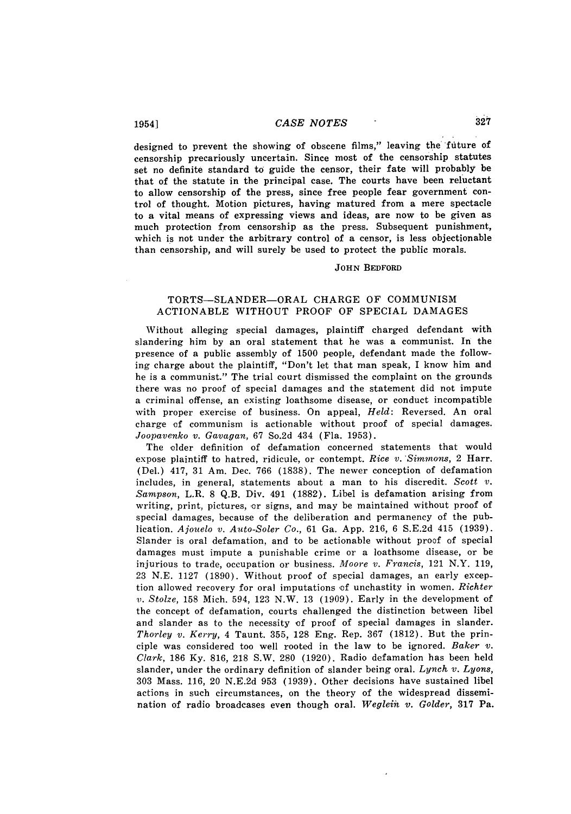designed to prevent the showing of obscene films," leaving the future of censorship precariously uncertain. Since most of the censorship statutes set no definite standard to guide the censor, their fate will probably be that of the statute in the principal case. The courts have been reluctant to allow censorship of the press, since free people fear government control of thought. Motion pictures, having matured from a mere spectacle to a vital means of expressing views and ideas, are now to be given as much protection from censorship as the press. Subsequent punishment, which is not under the arbitrary control of a censor, is less objectionable than censorship, and will surely be used to protect the public morals.

### **JOHN** BEDFORD

# TORTS-SLANDER-ORAL CHARGE OF COMMUNISM ACTIONABLE WITHOUT PROOF OF SPECIAL DAMAGES

Without alleging special damages, plaintiff charged defendant with slandering him by an oral statement that he was a communist. In the presence of a public assembly of 1500 people, defendant made the following charge about the plaintiff, "Don't let that man speak, I know him and he is a communist." The trial court dismissed the complaint on the grounds there was no proof of special damages and the statement did not impute a criminal offense, an existing loathsome disease, or conduct incompatible with proper exercise of business. On appeal, *Held:* Reversed. An oral charge of communism is actionable without proof of special damages. *Joopavenko v. Gavagan,* **67** So.2d 434 (Fla. 1953).

The older definition of defamation concerned statements that would expose plaintiff to hatred, ridicule, or contempt. *Rice v. Simmons,* 2 Harr. (Del.) 417, 31 Am. Dec. 766 (1838). The newer conception of defamation includes, in general, statements about a man to his discredit. *Scott v. Sampson,* L.R. 8 Q.B. Div. 491 (1882). Libel is defamation arising from writing, print, pictures, or signs, and may be maintained without proof of special damages, because of the deliberation and permanency of the publication. *Ajouelo v. Auto-Soler Co.,* 61 Ga. App. 216, 6 S.E.2d 415 (1939). Slander is oral defamation, and to be actionable without proof of special damages must impute a punishable crime or a loathsome disease, or be injurious to trade, occupation or business. *Moore v. Francis,* 121 N.Y. 119, 23 N.E. 1127 (1890). Without proof of special damages, an early exception allowed recovery for oral imputations **of** unchastity in women. *Richter v. Stolze,* 158 Mich. 594, 123 N.W. 13 (1909). Early in the development of the concept of defamation, courts challenged the distinction between libel and slander as to the necessity of proof of special damages in slander. *Thorley v. Kerry,* 4 Taunt. 355, 128 Eng. Rep. 367 (1812). But the principle was considered too well rooted in the law to be ignored. *Baker v. Clark,* 186 Ky. 816, 218 S.W. 280 (1920). Radio defamation has been held slander, under the ordinary definition of slander being oral. *Lynch v. Lyons,* 303 Mass. 116, 20 N.E.2d 953 (1939). Other decisions have sustained libel actions in such circumstances, on the theory of the widespread dissemination of radio broadcases even though oral. *Weglein, v. Golder,* 317 Pa.